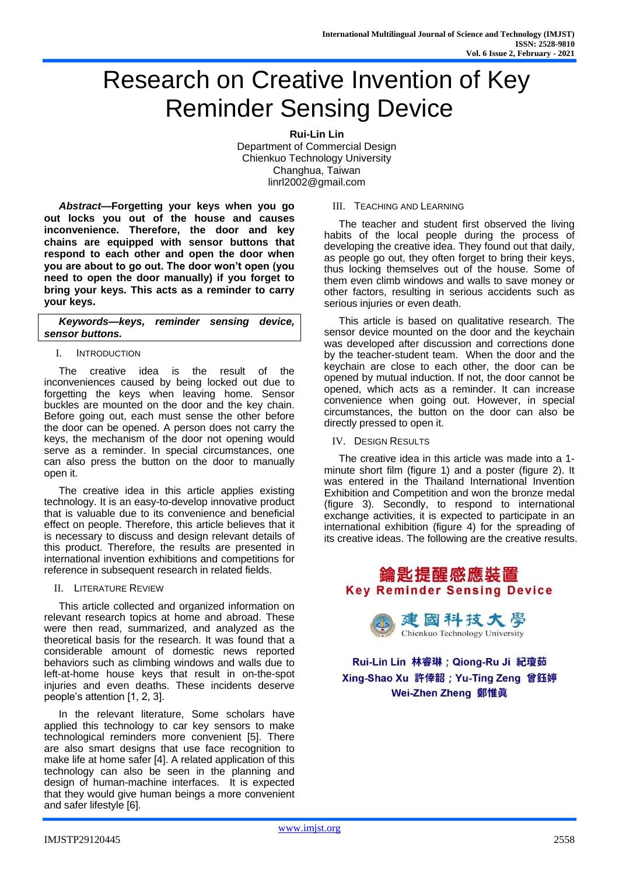# Research on Creative Invention of Key Reminder Sensing Device

**Rui-Lin Lin** Department of Commercial Design Chienkuo Technology University Changhua, Taiwan linrl2002@gmail.com

*Abstract***—Forgetting your keys when you go out locks you out of the house and causes inconvenience. Therefore, the door and key chains are equipped with sensor buttons that respond to each other and open the door when you are about to go out. The door won't open (you need to open the door manually) if you forget to bring your keys. This acts as a reminder to carry your keys.**

*Keywords—keys, reminder sensing device, sensor buttons.*

### I. INTRODUCTION

The creative idea is the result of the inconveniences caused by being locked out due to forgetting the keys when leaving home. Sensor buckles are mounted on the door and the key chain. Before going out, each must sense the other before the door can be opened. A person does not carry the keys, the mechanism of the door not opening would serve as a reminder. In special circumstances, one can also press the button on the door to manually open it.

The creative idea in this article applies existing technology. It is an easy-to-develop innovative product that is valuable due to its convenience and beneficial effect on people. Therefore, this article believes that it is necessary to discuss and design relevant details of this product. Therefore, the results are presented in international invention exhibitions and competitions for reference in subsequent research in related fields.

II. LITERATURE REVIEW

This article collected and organized information on relevant research topics at home and abroad. These were then read, summarized, and analyzed as the theoretical basis for the research. It was found that a considerable amount of domestic news reported behaviors such as climbing windows and walls due to left-at-home house keys that result in on-the-spot injuries and even deaths. These incidents deserve people's attention [1, 2, 3].

In the relevant literature, Some scholars have applied this technology to car key sensors to make technological reminders more convenient [5]. There are also smart designs that use face recognition to make life at home safer [4]. A related application of this technology can also be seen in the planning and design of human-machine interfaces. It is expected that they would give human beings a more convenient and safer lifestyle [6].

#### III. TEACHING AND LEARNING

The teacher and student first observed the living habits of the local people during the process of developing the creative idea. They found out that daily, as people go out, they often forget to bring their keys, thus locking themselves out of the house. Some of them even climb windows and walls to save money or other factors, resulting in serious accidents such as serious injuries or even death.

This article is based on qualitative research. The sensor device mounted on the door and the keychain was developed after discussion and corrections done by the teacher-student team. When the door and the keychain are close to each other, the door can be opened by mutual induction. If not, the door cannot be opened, which acts as a reminder. It can increase convenience when going out. However, in special circumstances, the button on the door can also be directly pressed to open it.

IV. DESIGN RESULTS

The creative idea in this article was made into a 1 minute short film (figure 1) and a poster (figure 2). It was entered in the Thailand International Invention Exhibition and Competition and won the bronze medal (figure 3). Secondly, to respond to international exchange activities, it is expected to participate in an international exhibition (figure 4) for the spreading of its creative ideas. The following are the creative results.

# 鑰匙提醒感應裝置 **Key Reminder Sensing Device**

建國科技大學 Chienkuo Technology University

Rui-Lin Lin 林睿琳; Qiong-Ru Ji 紀瓊茹 Xing-Shao Xu 許倖韶; Yu-Ting Zeng 曾鈺婷 Wei-Zhen Zheng 鄭惟眞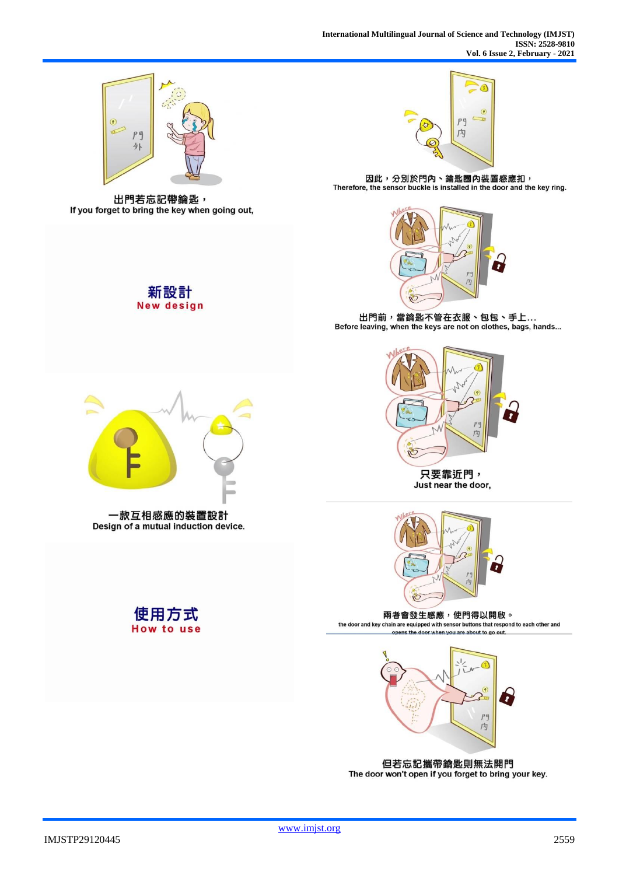

出門若忘記帶鑰匙, If you forget to bring the key when going out,

新設計 **New design** 



因此,分別於門內、鑰匙圈內裝置感應扣,<br>Therefore, the sensor buckle is installed in the door and the key ring.



出門前,當鑰匙不管在衣服、包包、手上... Before leaving, when the keys are not on clothes, bags, hands...



Just near the door,



兩者會發生感應,使門得以開啟。 the door and key chain are equipped with sensor buttons that respond to each other and opens the door when you are about to go out.



但若忘記攜帶鑰匙則無法開門 The door won't open if you forget to bring your key.



一款互相感應的裝置設計 Design of a mutual induction device.



**How to use**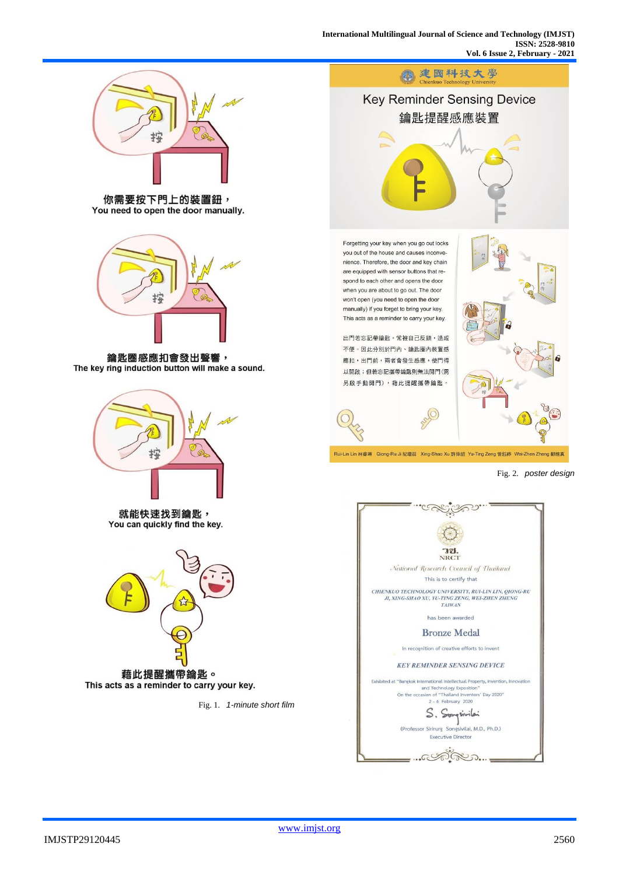

\_…cathera...